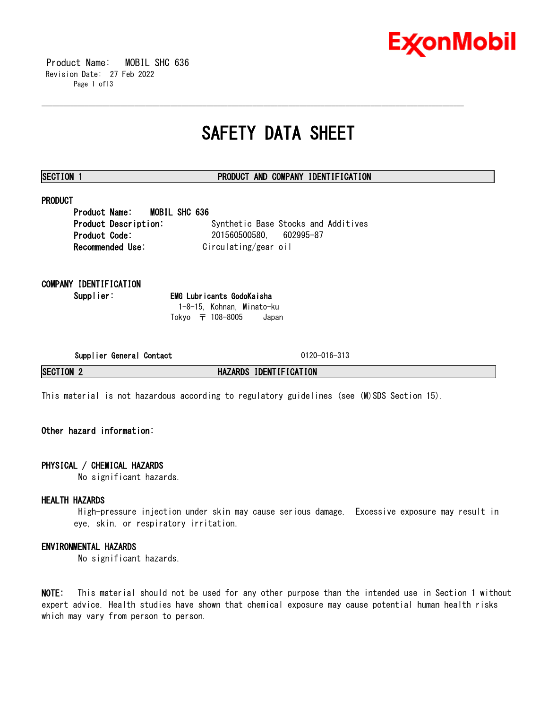

 Product Name: MOBIL SHC 636 Revision Date: 27 Feb 2022 Page 1 of13

## **SAFETY DATA SHEET**

\_\_\_\_\_\_\_\_\_\_\_\_\_\_\_\_\_\_\_\_\_\_\_\_\_\_\_\_\_\_\_\_\_\_\_\_\_\_\_\_\_\_\_\_\_\_\_\_\_\_\_\_\_\_\_\_\_\_\_\_\_\_\_\_\_\_\_\_\_\_\_\_\_\_\_\_\_\_\_\_\_\_\_\_\_\_\_\_\_\_\_\_\_\_\_\_\_\_\_\_\_\_\_\_\_\_\_\_\_\_\_\_\_\_\_\_\_\_

### **SECTION 1 PRODUCT AND COMPANY IDENTIFICATION**

## **PRODUCT**

**Product Name: MOBIL SHC 636 Product Description:** Synthetic Base Stocks and Additives **Product Code:** 201560500580, 602995-87 **Recommended Use:** Circulating/gear oil

**COMPANY IDENTIFICATION**

**Supplier: EMG Lubricants GodoKaisha** 1-8-15, Kohnan, Minato-ku Tokyo 〒 108-8005 Japan

**Supplier General Contact** 0120-016-313

**SECTION 2 HAZARDS IDENTIFICATION**

This material is not hazardous according to regulatory guidelines (see (M)SDS Section 15).

### **Other hazard information:**

#### **PHYSICAL / CHEMICAL HAZARDS**

No significant hazards.

#### **HEALTH HAZARDS**

High-pressure injection under skin may cause serious damage. Excessive exposure may result in eye, skin, or respiratory irritation.

#### **ENVIRONMENTAL HAZARDS**

No significant hazards.

**NOTE:** This material should not be used for any other purpose than the intended use in Section 1 without expert advice. Health studies have shown that chemical exposure may cause potential human health risks which may vary from person to person.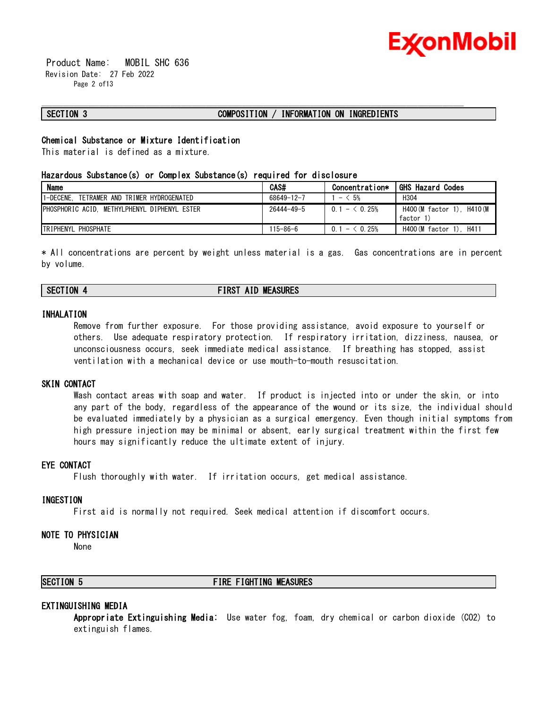

 Product Name: MOBIL SHC 636 Revision Date: 27 Feb 2022 Page 2 of13

#### **SECTION 3 COMPOSITION / INFORMATION ON INGREDIENTS**

\_\_\_\_\_\_\_\_\_\_\_\_\_\_\_\_\_\_\_\_\_\_\_\_\_\_\_\_\_\_\_\_\_\_\_\_\_\_\_\_\_\_\_\_\_\_\_\_\_\_\_\_\_\_\_\_\_\_\_\_\_\_\_\_\_\_\_\_\_\_\_\_\_\_\_\_\_\_\_\_\_\_\_\_\_\_\_\_\_\_\_\_\_\_\_\_\_\_\_\_\_\_\_\_\_\_\_\_\_\_\_\_\_\_\_\_\_\_

#### **Chemical Substance or Mixture Identification**

This material is defined as a mixture.

#### **Hazardous Substance(s) or Complex Substance(s) required for disclosure**

| <b>Name</b>                                   | CAS#             | Concentration* | <b>GHS Hazard Codes</b>                 |
|-----------------------------------------------|------------------|----------------|-----------------------------------------|
| 1-DECENE.<br>TETRAMER AND TRIMER HYDROGENATED | 68649-12-7       | $- < 5%$       | H <sub>304</sub>                        |
| PHOSPHORIC ACID. METHYLPHENYL DIPHENYL ESTER  | $26444 - 49 - 5$ | $0.1 - 6.25%$  | H400 (M factor 1). H410 (M<br>factor 1) |
| <b>TRIPHENYL PHOSPHATE</b>                    | $115 - 86 - 6$   | $0.1 - 0.25%$  | H400 (M factor 1). H411                 |

\* All concentrations are percent by weight unless material is a gas. Gas concentrations are in percent by volume.

### **SECTION 4 FIRST AID MEASURES**

#### **INHALATION**

Remove from further exposure. For those providing assistance, avoid exposure to yourself or others. Use adequate respiratory protection. If respiratory irritation, dizziness, nausea, or unconsciousness occurs, seek immediate medical assistance. If breathing has stopped, assist ventilation with a mechanical device or use mouth-to-mouth resuscitation.

#### **SKIN CONTACT**

Wash contact areas with soap and water. If product is injected into or under the skin, or into any part of the body, regardless of the appearance of the wound or its size, the individual should be evaluated immediately by a physician as a surgical emergency. Even though initial symptoms from high pressure injection may be minimal or absent, early surgical treatment within the first few hours may significantly reduce the ultimate extent of injury.

#### **EYE CONTACT**

Flush thoroughly with water. If irritation occurs, get medical assistance.

#### **INGESTION**

First aid is normally not required. Seek medical attention if discomfort occurs.

#### **NOTE TO PHYSICIAN**

None

#### **SECTION 5 FIRE FIGHTING MEASURES**

#### **EXTINGUISHING MEDIA**

**Appropriate Extinguishing Media:** Use water fog, foam, dry chemical or carbon dioxide (CO2) to extinguish flames.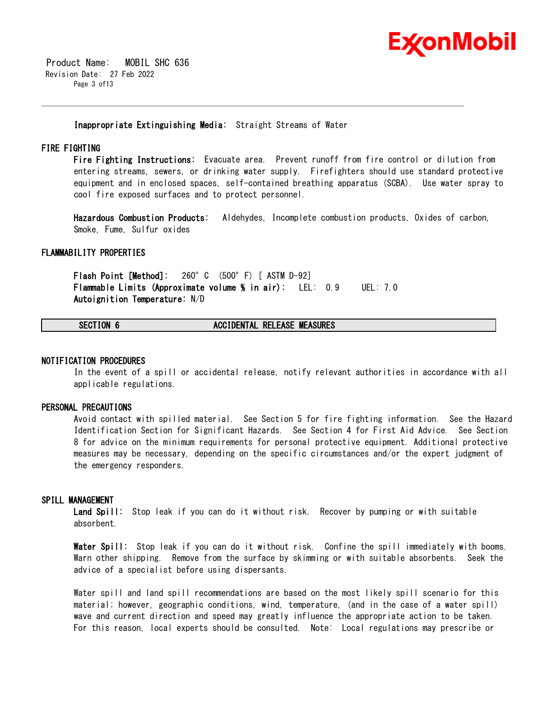

 Product Name: MOBIL SHC 636 Revision Date: 27 Feb 2022 Page 3 of13

**Inappropriate Extinguishing Media:** Straight Streams of Water

\_\_\_\_\_\_\_\_\_\_\_\_\_\_\_\_\_\_\_\_\_\_\_\_\_\_\_\_\_\_\_\_\_\_\_\_\_\_\_\_\_\_\_\_\_\_\_\_\_\_\_\_\_\_\_\_\_\_\_\_\_\_\_\_\_\_\_\_\_\_\_\_\_\_\_\_\_\_\_\_\_\_\_\_\_\_\_\_\_\_\_\_\_\_\_\_\_\_\_\_\_\_\_\_\_\_\_\_\_\_\_\_\_\_\_\_\_\_

#### **FIRE FIGHTING**

**Fire Fighting Instructions:** Evacuate area. Prevent runoff from fire control or dilution from entering streams, sewers, or drinking water supply. Firefighters should use standard protective equipment and in enclosed spaces, self-contained breathing apparatus (SCBA). Use water spray to cool fire exposed surfaces and to protect personnel.

**Hazardous Combustion Products:** Aldehydes, Incomplete combustion products, Oxides of carbon, Smoke, Fume, Sulfur oxides

#### **FLAMMABILITY PROPERTIES**

**Flash Point [Method]:** 260°C (500°F) [ ASTM D-92] **Flammable Limits (Approximate volume % in air):** LEL: 0.9 UEL: 7.0 **Autoignition Temperature:** N/D

### **SECTION 6 ACCIDENTAL RELEASE MEASURES**

#### **NOTIFICATION PROCEDURES**

In the event of a spill or accidental release, notify relevant authorities in accordance with all applicable regulations.

#### **PERSONAL PRECAUTIONS**

Avoid contact with spilled material. See Section 5 for fire fighting information. See the Hazard Identification Section for Significant Hazards. See Section 4 for First Aid Advice. See Section 8 for advice on the minimum requirements for personal protective equipment. Additional protective measures may be necessary, depending on the specific circumstances and/or the expert judgment of the emergency responders.

#### **SPILL MANAGEMENT**

**Land Spill:** Stop leak if you can do it without risk. Recover by pumping or with suitable absorbent.

**Water Spill:** Stop leak if you can do it without risk. Confine the spill immediately with booms. Warn other shipping. Remove from the surface by skimming or with suitable absorbents. Seek the advice of a specialist before using dispersants.

Water spill and land spill recommendations are based on the most likely spill scenario for this material; however, geographic conditions, wind, temperature, (and in the case of a water spill) wave and current direction and speed may greatly influence the appropriate action to be taken. For this reason, local experts should be consulted. Note: Local regulations may prescribe or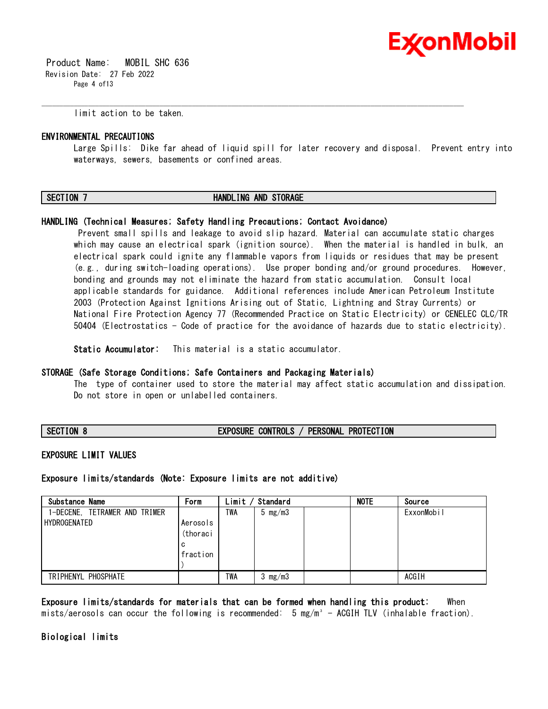

 Product Name: MOBIL SHC 636 Revision Date: 27 Feb 2022 Page 4 of13

limit action to be taken.

#### **ENVIRONMENTAL PRECAUTIONS**

Large Spills: Dike far ahead of liquid spill for later recovery and disposal. Prevent entry into waterways, sewers, basements or confined areas.

#### **SECTION 7 HANDLING AND STORAGE**

\_\_\_\_\_\_\_\_\_\_\_\_\_\_\_\_\_\_\_\_\_\_\_\_\_\_\_\_\_\_\_\_\_\_\_\_\_\_\_\_\_\_\_\_\_\_\_\_\_\_\_\_\_\_\_\_\_\_\_\_\_\_\_\_\_\_\_\_\_\_\_\_\_\_\_\_\_\_\_\_\_\_\_\_\_\_\_\_\_\_\_\_\_\_\_\_\_\_\_\_\_\_\_\_\_\_\_\_\_\_\_\_\_\_\_\_\_\_

#### **HANDLING (Technical Measures; Safety Handling Precautions; Contact Avoidance)**

Prevent small spills and leakage to avoid slip hazard. Material can accumulate static charges which may cause an electrical spark (ignition source). When the material is handled in bulk, an electrical spark could ignite any flammable vapors from liquids or residues that may be present (e.g., during switch-loading operations). Use proper bonding and/or ground procedures. However, bonding and grounds may not eliminate the hazard from static accumulation. Consult local applicable standards for guidance. Additional references include American Petroleum Institute 2003 (Protection Against Ignitions Arising out of Static, Lightning and Stray Currents) or National Fire Protection Agency 77 (Recommended Practice on Static Electricity) or CENELEC CLC/TR 50404 (Electrostatics - Code of practice for the avoidance of hazards due to static electricity).

**Static Accumulator:** This material is a static accumulator.

#### **STORAGE (Safe Storage Conditions; Safe Containers and Packaging Materials)**

The type of container used to store the material may affect static accumulation and dissipation. Do not store in open or unlabelled containers.

**SECTION 8 EXPOSURE CONTROLS / PERSONAL PROTECTION**

#### **EXPOSURE LIMIT VALUES**

**Exposure limits/standards (Note: Exposure limits are not additive)**

| Substance Name                | Form     | Limit | Standard         | <b>NOTE</b> | Source     |
|-------------------------------|----------|-------|------------------|-------------|------------|
| 1-DECENE, TETRAMER AND TRIMER |          | TWA   | $5 \text{ mg/m}$ |             | ExxonMobil |
| HYDROGENATED                  | Aerosols |       |                  |             |            |
|                               | (thoraci |       |                  |             |            |
|                               | c        |       |                  |             |            |
|                               | fraction |       |                  |             |            |
|                               |          |       |                  |             |            |
| TRIPHENYL PHOSPHATE           |          | TWA   | $3 \,$ mg/m $3$  |             | ACGIH      |

**Exposure limits/standards for materials that can be formed when handling this product:** When mists/aerosols can occur the following is recommended:  $5 \text{ mg/m}^3$  - ACGIH TLV (inhalable fraction).

#### **Biological limits**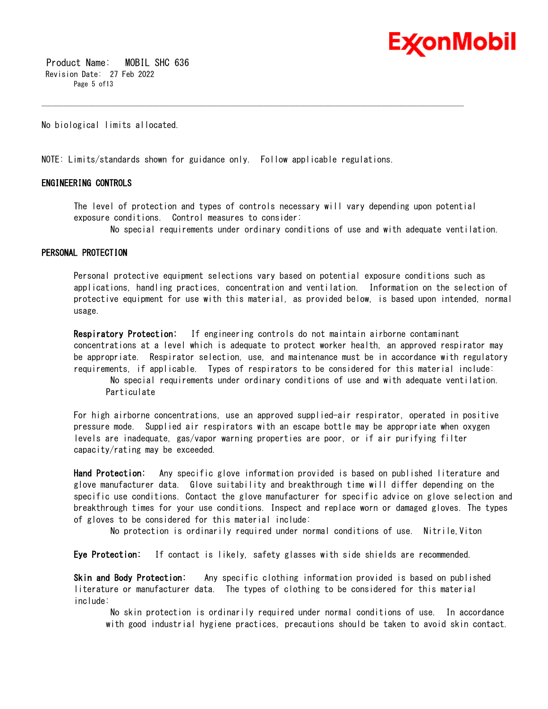

 Product Name: MOBIL SHC 636 Revision Date: 27 Feb 2022 Page 5 of 13

No biological limits allocated.

NOTE: Limits/standards shown for guidance only. Follow applicable regulations.

#### **ENGINEERING CONTROLS**

The level of protection and types of controls necessary will vary depending upon potential exposure conditions. Control measures to consider:

\_\_\_\_\_\_\_\_\_\_\_\_\_\_\_\_\_\_\_\_\_\_\_\_\_\_\_\_\_\_\_\_\_\_\_\_\_\_\_\_\_\_\_\_\_\_\_\_\_\_\_\_\_\_\_\_\_\_\_\_\_\_\_\_\_\_\_\_\_\_\_\_\_\_\_\_\_\_\_\_\_\_\_\_\_\_\_\_\_\_\_\_\_\_\_\_\_\_\_\_\_\_\_\_\_\_\_\_\_\_\_\_\_\_\_\_\_\_

No special requirements under ordinary conditions of use and with adequate ventilation.

#### **PERSONAL PROTECTION**

Personal protective equipment selections vary based on potential exposure conditions such as applications, handling practices, concentration and ventilation. Information on the selection of protective equipment for use with this material, as provided below, is based upon intended, normal usage.

**Respiratory Protection:** If engineering controls do not maintain airborne contaminant concentrations at a level which is adequate to protect worker health, an approved respirator may be appropriate. Respirator selection, use, and maintenance must be in accordance with regulatory requirements, if applicable. Types of respirators to be considered for this material include:

No special requirements under ordinary conditions of use and with adequate ventilation. Particulate

For high airborne concentrations, use an approved supplied-air respirator, operated in positive pressure mode. Supplied air respirators with an escape bottle may be appropriate when oxygen levels are inadequate, gas/vapor warning properties are poor, or if air purifying filter capacity/rating may be exceeded.

**Hand Protection:** Any specific glove information provided is based on published literature and glove manufacturer data. Glove suitability and breakthrough time will differ depending on the specific use conditions. Contact the glove manufacturer for specific advice on glove selection and breakthrough times for your use conditions. Inspect and replace worn or damaged gloves. The types of gloves to be considered for this material include:

No protection is ordinarily required under normal conditions of use. Nitrile,Viton

**Eye Protection:** If contact is likely, safety glasses with side shields are recommended.

**Skin and Body Protection:** Any specific clothing information provided is based on published literature or manufacturer data. The types of clothing to be considered for this material include:

No skin protection is ordinarily required under normal conditions of use. In accordance with good industrial hygiene practices, precautions should be taken to avoid skin contact.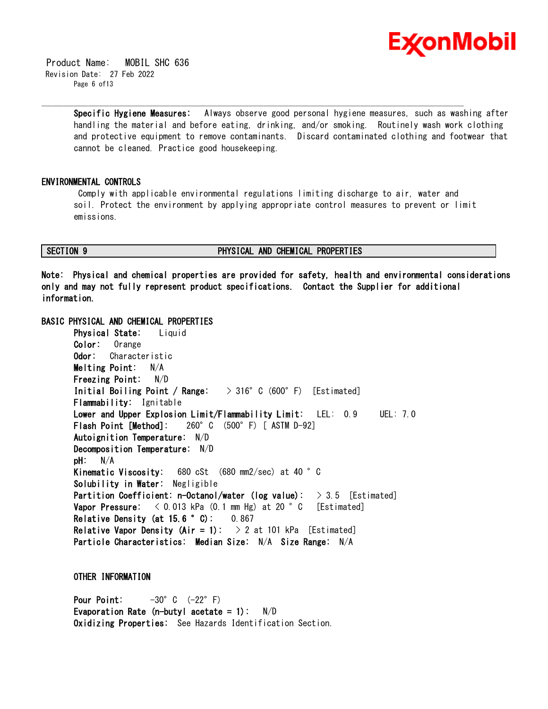

 Product Name: MOBIL SHC 636 Revision Date: 27 Feb 2022 Page 6 of13

> **Specific Hygiene Measures:** Always observe good personal hygiene measures, such as washing after handling the material and before eating, drinking, and/or smoking. Routinely wash work clothing and protective equipment to remove contaminants. Discard contaminated clothing and footwear that cannot be cleaned. Practice good housekeeping.

#### **ENVIRONMENTAL CONTROLS**

Comply with applicable environmental regulations limiting discharge to air, water and soil. Protect the environment by applying appropriate control measures to prevent or limit emissions.

\_\_\_\_\_\_\_\_\_\_\_\_\_\_\_\_\_\_\_\_\_\_\_\_\_\_\_\_\_\_\_\_\_\_\_\_\_\_\_\_\_\_\_\_\_\_\_\_\_\_\_\_\_\_\_\_\_\_\_\_\_\_\_\_\_\_\_\_\_\_\_\_\_\_\_\_\_\_\_\_\_\_\_\_\_\_\_\_\_\_\_\_\_\_\_\_\_\_\_\_\_\_\_\_\_\_\_\_\_\_\_\_\_\_\_\_\_\_

### **SECTION 9 PHYSICAL AND CHEMICAL PROPERTIES**

**Note: Physical and chemical properties are provided for safety, health and environmental considerations only and may not fully represent product specifications. Contact the Supplier for additional information.**

#### **BASIC PHYSICAL AND CHEMICAL PROPERTIES**

**Physical State:** Liquid **Color:** Orange **Odor:** Characteristic **Melting Point:** N/A **Freezing Point:** N/D **Initial Boiling Point / Range:** > 316°C (600°F) [Estimated] **Flammability:** Ignitable **Lower and Upper Explosion Limit/Flammability Limit:** LEL: 0.9 UEL: 7.0 **Flash Point [Method]:** 260°C (500°F) [ ASTM D-92] **Autoignition Temperature:** N/D **Decomposition Temperature:** N/D **pH:** N/A **Kinematic Viscosity:** 680 cSt (680 mm2/sec) at 40 °C **Solubility in Water:** Negligible **Partition Coefficient: n-Octanol/water (log value):** > 3.5 [Estimated] **Vapor Pressure:**  $\langle 0.013 \text{ kPa} (0.1 \text{ mm Hg}) \text{ at } 20 \degree \text{ C}$  [Estimated] **Relative Density (at 15.6 °C):** 0.867 **Relative Vapor Density (Air = 1):**  $> 2$  at 101 kPa [Estimated] **Particle Characteristics: Median Size:** N/A **Size Range:** N/A

**OTHER INFORMATION**

**Pour Point:**  $-30^{\circ}$  C  $(-22^{\circ}$  F) **Evaporation Rate (n-butyl acetate = 1):** N/D **Oxidizing Properties:** See Hazards Identification Section.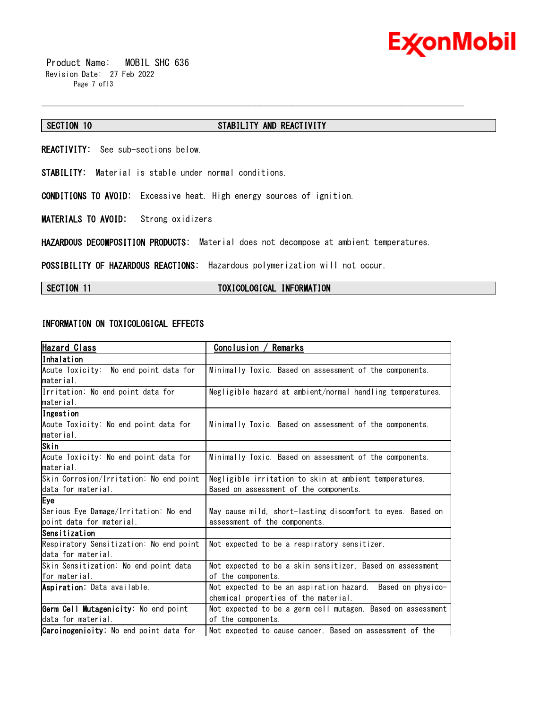

 Product Name: MOBIL SHC 636 Revision Date: 27 Feb 2022 Page 7 of13

#### **SECTION 10 STABILITY AND REACTIVITY**

\_\_\_\_\_\_\_\_\_\_\_\_\_\_\_\_\_\_\_\_\_\_\_\_\_\_\_\_\_\_\_\_\_\_\_\_\_\_\_\_\_\_\_\_\_\_\_\_\_\_\_\_\_\_\_\_\_\_\_\_\_\_\_\_\_\_\_\_\_\_\_\_\_\_\_\_\_\_\_\_\_\_\_\_\_\_\_\_\_\_\_\_\_\_\_\_\_\_\_\_\_\_\_\_\_\_\_\_\_\_\_\_\_\_\_\_\_\_

**REACTIVITY:** See sub-sections below.

**STABILITY:** Material is stable under normal conditions.

**CONDITIONS TO AVOID:** Excessive heat. High energy sources of ignition.

**MATERIALS TO AVOID:** Strong oxidizers

**HAZARDOUS DECOMPOSITION PRODUCTS:** Material does not decompose at ambient temperatures.

**POSSIBILITY OF HAZARDOUS REACTIONS:** Hazardous polymerization will not occur.

#### **SECTION 11 TOXICOLOGICAL INFORMATION**

#### **INFORMATION ON TOXICOLOGICAL EFFECTS**

| Hazard Class                            | Remarks<br>Conclusion /                                     |  |  |
|-----------------------------------------|-------------------------------------------------------------|--|--|
| Inhalation                              |                                                             |  |  |
| Acute Toxicity: No end point data for   | Minimally Toxic. Based on assessment of the components.     |  |  |
| lmaterial.                              |                                                             |  |  |
| Irritation: No end point data for       | Negligible hazard at ambient/normal handling temperatures.  |  |  |
| lmaterial.                              |                                                             |  |  |
| Ingestion                               |                                                             |  |  |
| Acute Toxicity: No end point data for   | Minimally Toxic. Based on assessment of the components.     |  |  |
| material.                               |                                                             |  |  |
| Skin                                    |                                                             |  |  |
| Acute Toxicity: No end point data for   | Minimally Toxic. Based on assessment of the components.     |  |  |
| material.                               |                                                             |  |  |
| Skin Corrosion/Irritation: No end point | Negligible irritation to skin at ambient temperatures.      |  |  |
| data for material.                      | Based on assessment of the components.                      |  |  |
| Eye                                     |                                                             |  |  |
| Serious Eye Damage/Irritation: No end   | May cause mild, short-lasting discomfort to eyes. Based on  |  |  |
| point data for material.                | assessment of the components.                               |  |  |
| Sensitization                           |                                                             |  |  |
| Respiratory Sensitization: No end point | Not expected to be a respiratory sensitizer.                |  |  |
| data for material.                      |                                                             |  |  |
| Skin Sensitization: No end point data   | Not expected to be a skin sensitizer. Based on assessment   |  |  |
| for material.                           | of the components.                                          |  |  |
| Aspiration: Data available.             | Not expected to be an aspiration hazard. Based on physico-  |  |  |
|                                         | chemical properties of the material.                        |  |  |
| Germ Cell Mutagenicity: No end point    | Not expected to be a germ cell mutagen. Based on assessment |  |  |
| data for material.                      | of the components.                                          |  |  |
| Carcinogenicity: No end point data for  | Not expected to cause cancer. Based on assessment of the    |  |  |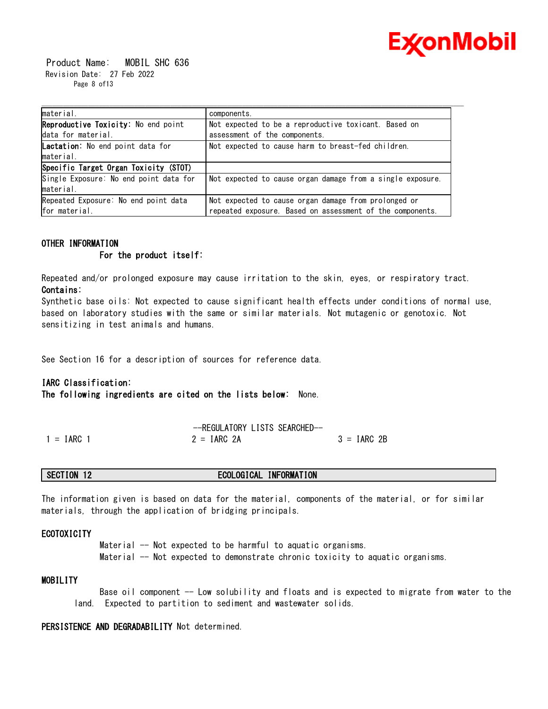

 Product Name: MOBIL SHC 636 Revision Date: 27 Feb 2022 Page 8 of13

| material.                              | components.                                                |  |  |
|----------------------------------------|------------------------------------------------------------|--|--|
| Reproductive Toxicity: No end point    | Not expected to be a reproductive toxicant. Based on       |  |  |
| data for material.                     | assessment of the components.                              |  |  |
| Lactation: No end point data for       | Not expected to cause harm to breast-fed children.         |  |  |
| material.                              |                                                            |  |  |
| Specific Target Organ Toxicity (STOT)  |                                                            |  |  |
| Single Exposure: No end point data for | Not expected to cause organ damage from a single exposure. |  |  |
| material.                              |                                                            |  |  |
| Repeated Exposure: No end point data   | Not expected to cause organ damage from prolonged or       |  |  |
| for material.                          | repeated exposure. Based on assessment of the components.  |  |  |

#### **OTHER INFORMATION**

 **For the product itself:** 

Repeated and/or prolonged exposure may cause irritation to the skin, eyes, or respiratory tract. **Contains:**

Synthetic base oils: Not expected to cause significant health effects under conditions of normal use, based on laboratory studies with the same or similar materials. Not mutagenic or genotoxic. Not sensitizing in test animals and humans.

See Section 16 for a description of sources for reference data.

#### **IARC Classification:**

**The following ingredients are cited on the lists below:** None.

|              | -REGULATORY LISTS SEARCHED- |               |
|--------------|-----------------------------|---------------|
| $1 = IARC$ 1 | $2 = IARG 2A$               | $3 = IARC 2B$ |

### **SECTION 12 ECOLOGICAL INFORMATION**

The information given is based on data for the material, components of the material, or for similar materials, through the application of bridging principals.

#### **ECOTOXICITY**

Material -- Not expected to be harmful to aquatic organisms. Material -- Not expected to demonstrate chronic toxicity to aquatic organisms.

#### **MOBILITY**

Base oil component -- Low solubility and floats and is expected to migrate from water to the land. Expected to partition to sediment and wastewater solids.

#### **PERSISTENCE AND DEGRADABILITY** Not determined.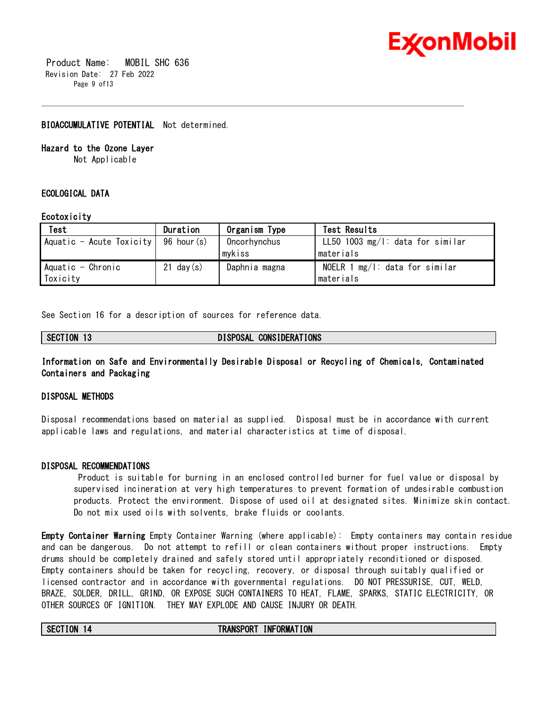

 Product Name: MOBIL SHC 636 Revision Date: 27 Feb 2022 Page 9 of13

#### **BIOACCUMULATIVE POTENTIAL** Not determined.

#### **Hazard to the Ozone Layer**

Not Applicable

### **ECOLOGICAL DATA**

#### **Ecotoxicity**

| Test                                     | Duration     | Organism Type | Test Results                        |
|------------------------------------------|--------------|---------------|-------------------------------------|
| Aquatic - Acute Toxicity   $96$ hour (s) |              | Oncorhynchus  | LL50 1003 $mg/1$ : data for similar |
|                                          |              | mykiss        | Imaterials                          |
| Aquatic - Chronic                        | $21$ day (s) | Daphnia magna | NOELR 1 $mg/l$ : data for similar   |
| Toxicity                                 |              |               | Imaterials                          |

\_\_\_\_\_\_\_\_\_\_\_\_\_\_\_\_\_\_\_\_\_\_\_\_\_\_\_\_\_\_\_\_\_\_\_\_\_\_\_\_\_\_\_\_\_\_\_\_\_\_\_\_\_\_\_\_\_\_\_\_\_\_\_\_\_\_\_\_\_\_\_\_\_\_\_\_\_\_\_\_\_\_\_\_\_\_\_\_\_\_\_\_\_\_\_\_\_\_\_\_\_\_\_\_\_\_\_\_\_\_\_\_\_\_\_\_\_\_

See Section 16 for a description of sources for reference data.

| .ON<br>ΙJ | <b>CONSIDERATIONS</b><br>ויאמ<br>'USAL |
|-----------|----------------------------------------|
| .         |                                        |

#### **Information on Safe and Environmentally Desirable Disposal or Recycling of Chemicals, Contaminated Containers and Packaging**

#### **DISPOSAL METHODS**

Disposal recommendations based on material as supplied. Disposal must be in accordance with current applicable laws and regulations, and material characteristics at time of disposal.

#### **DISPOSAL RECOMMENDATIONS**

Product is suitable for burning in an enclosed controlled burner for fuel value or disposal by supervised incineration at very high temperatures to prevent formation of undesirable combustion products. Protect the environment. Dispose of used oil at designated sites. Minimize skin contact. Do not mix used oils with solvents, brake fluids or coolants.

**Empty Container Warning** Empty Container Warning (where applicable): Empty containers may contain residue and can be dangerous. Do not attempt to refill or clean containers without proper instructions. Empty drums should be completely drained and safely stored until appropriately reconditioned or disposed. Empty containers should be taken for recycling, recovery, or disposal through suitably qualified or licensed contractor and in accordance with governmental regulations. DO NOT PRESSURISE, CUT, WELD, BRAZE, SOLDER, DRILL, GRIND, OR EXPOSE SUCH CONTAINERS TO HEAT, FLAME, SPARKS, STATIC ELECTRICITY, OR OTHER SOURCES OF IGNITION. THEY MAY EXPLODE AND CAUSE INJURY OR DEATH.

#### **SECTION 14 TRANSPORT INFORMATION**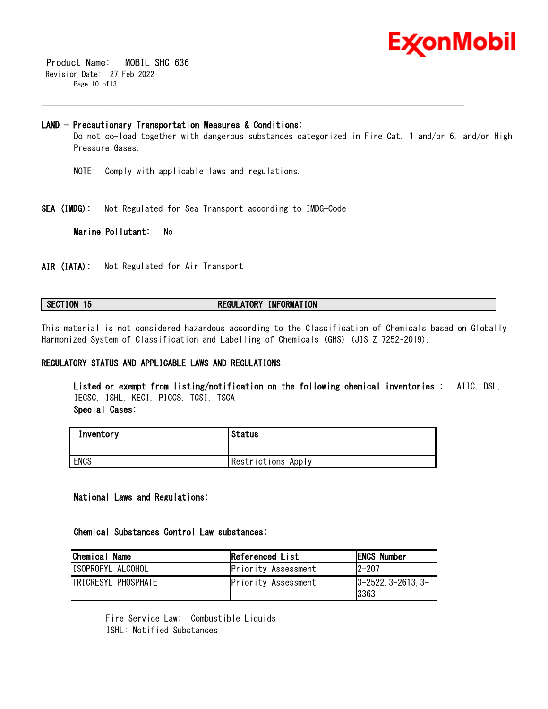

 Product Name: MOBIL SHC 636 Revision Date: 27 Feb 2022 Page 10 of13

#### **LAND - Precautionary Transportation Measures & Conditions:**

Do not co-load together with dangerous substances categorized in Fire Cat. 1 and/or 6, and/or High Pressure Gases.

\_\_\_\_\_\_\_\_\_\_\_\_\_\_\_\_\_\_\_\_\_\_\_\_\_\_\_\_\_\_\_\_\_\_\_\_\_\_\_\_\_\_\_\_\_\_\_\_\_\_\_\_\_\_\_\_\_\_\_\_\_\_\_\_\_\_\_\_\_\_\_\_\_\_\_\_\_\_\_\_\_\_\_\_\_\_\_\_\_\_\_\_\_\_\_\_\_\_\_\_\_\_\_\_\_\_\_\_\_\_\_\_\_\_\_\_\_\_

- NOTE: Comply with applicable laws and regulations.
- **SEA (IMDG):** Not Regulated for Sea Transport according to IMDG-Code

**Marine Pollutant:** No

**AIR (IATA):** Not Regulated for Air Transport

#### **SECTION 15 REGULATORY INFORMATION**

This material is not considered hazardous according to the Classification of Chemicals based on Globally Harmonized System of Classification and Labelling of Chemicals (GHS) (JIS Z 7252–2019).

#### **REGULATORY STATUS AND APPLICABLE LAWS AND REGULATIONS**

**Listed or exempt from listing/notification on the following chemical inventories :** AIIC, DSL, IECSC, ISHL, KECI, PICCS, TCSI, TSCA **Special Cases:**

| Inventory   | <b>Status</b>      |
|-------------|--------------------|
| <b>ENCS</b> | Restrictions Apply |

#### **National Laws and Regulations:**

#### **Chemical Substances Control Law substances:**

| Chemical Name        | Referenced List            | <b>ENCS Number</b>                        |
|----------------------|----------------------------|-------------------------------------------|
| ISOPROPYL ALCOHOL    | <b>Priority Assessment</b> | 12–207                                    |
| ITRICRESYL PHOSPHATE | Priority Assessment        | $13 - 2522$ , $3 - 2613$ , $3 -$<br>13363 |

Fire Service Law: Combustible Liquids ISHL: Notified Substances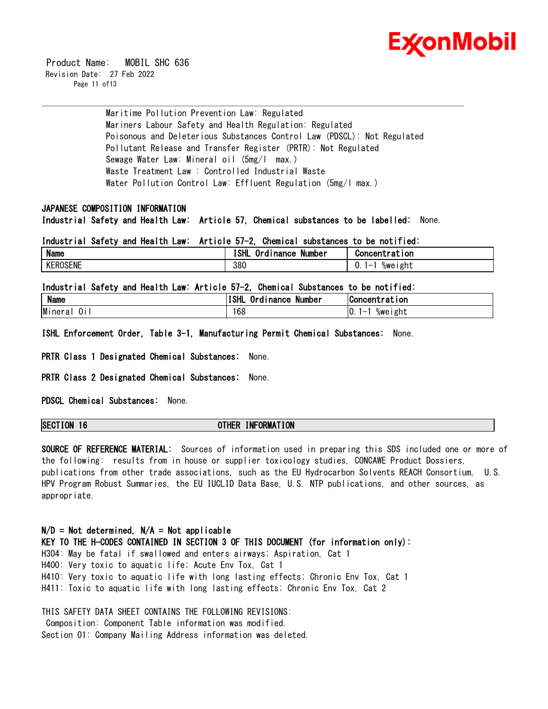

 Product Name: MOBIL SHC 636 Revision Date: 27 Feb 2022 Page 11 of 13

> Maritime Pollution Prevention Law: Regulated Mariners Labour Safety and Health Regulation: Regulated Poisonous and Deleterious Substances Control Law (PDSCL): Not Regulated Pollutant Release and Transfer Register (PRTR): Not Regulated Sewage Water Law: Mineral oil (5mg/l max.) Waste Treatment Law : Controlled Industrial Waste Water Pollution Control Law: Effluent Regulation (5mg/l max.)

\_\_\_\_\_\_\_\_\_\_\_\_\_\_\_\_\_\_\_\_\_\_\_\_\_\_\_\_\_\_\_\_\_\_\_\_\_\_\_\_\_\_\_\_\_\_\_\_\_\_\_\_\_\_\_\_\_\_\_\_\_\_\_\_\_\_\_\_\_\_\_\_\_\_\_\_\_\_\_\_\_\_\_\_\_\_\_\_\_\_\_\_\_\_\_\_\_\_\_\_\_\_\_\_\_\_\_\_\_\_\_\_\_\_\_\_\_\_

#### **JAPANESE COMPOSITION INFORMATION**

**Industrial Safety and Health Law: Article 57, Chemical substances to be labelled:** None.

**Industrial Safety and Health Law: Article 57-2, Chemical substances to be notified:**

| <b>Name</b>     | . .<br>וו וחי<br>--<br>Number<br><b>Inance</b><br>o<br>٥ı | 1 on<br>Concentr<br>---<br>al                        |
|-----------------|-----------------------------------------------------------|------------------------------------------------------|
| <b>KEROSENE</b> | 380                                                       | σh1<br>%we<br>$\overline{\phantom{0}}$<br>ם ונ<br>v. |

**Industrial Safety and Health Law: Article 57-2, Chemical Substances to be notified:**

| <b>Name</b>                   | ISHL<br>Number<br>ı nance<br>urd' | <b>Concentration</b>            |
|-------------------------------|-----------------------------------|---------------------------------|
| Minera<br><u>.</u><br>J١<br>đ | 168                               | $\sim$<br>10.<br>%weight<br>. – |

**ISHL Enforcement Order, Table 3-1, Manufacturing Permit Chemical Substances:** None.

**PRTR Class 1 Designated Chemical Substances:** None.

**PRTR Class 2 Designated Chemical Substances:** None.

**PDSCL Chemical Substances:** None.

**SECTION 16 OTHER INFORMATION**

**SOURCE OF REFERENCE MATERIAL:** Sources of information used in preparing this SDS included one or more of the following: results from in house or supplier toxicology studies, CONCAWE Product Dossiers, publications from other trade associations, such as the EU Hydrocarbon Solvents REACH Consortium, U.S. HPV Program Robust Summaries, the EU IUCLID Data Base, U.S. NTP publications, and other sources, as appropriate.

**N/D = Not determined, N/A = Not applicable KEY TO THE H-CODES CONTAINED IN SECTION 3 OF THIS DOCUMENT (for information only):** H304: May be fatal if swallowed and enters airways; Aspiration, Cat 1 H400: Very toxic to aquatic life; Acute Env Tox, Cat 1 H410: Very toxic to aquatic life with long lasting effects; Chronic Env Tox, Cat 1 H411: Toxic to aquatic life with long lasting effects; Chronic Env Tox, Cat 2

THIS SAFETY DATA SHEET CONTAINS THE FOLLOWING REVISIONS: Composition: Component Table information was modified. Section 01: Company Mailing Address information was deleted.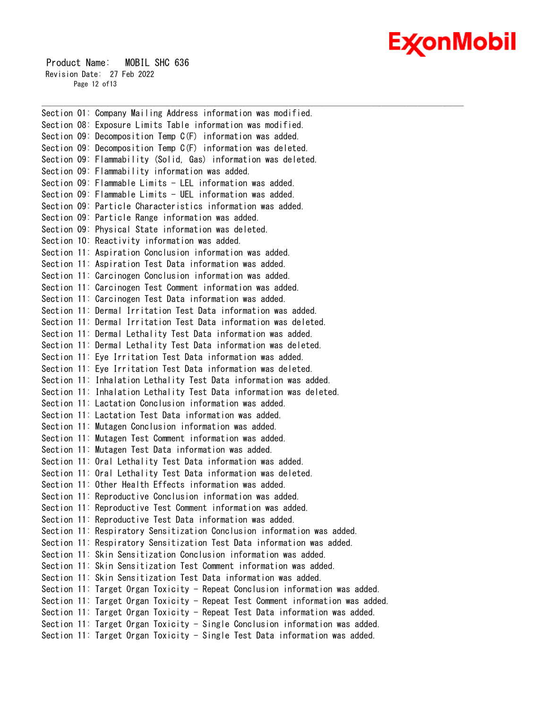# Ex⁄onMobil

 Product Name: MOBIL SHC 636 Revision Date: 27 Feb 2022 Page 12 of 13

Section 01: Company Mailing Address information was modified. Section 08: Exposure Limits Table information was modified. Section 09: Decomposition Temp C(F) information was added. Section 09: Decomposition Temp C(F) information was deleted. Section 09: Flammability (Solid, Gas) information was deleted. Section 09: Flammability information was added. Section 09: Flammable Limits - LEL information was added. Section 09: Flammable Limits - UEL information was added. Section 09: Particle Characteristics information was added. Section 09: Particle Range information was added. Section 09: Physical State information was deleted. Section 10: Reactivity information was added. Section 11: Aspiration Conclusion information was added. Section 11: Aspiration Test Data information was added. Section 11: Carcinogen Conclusion information was added. Section 11: Carcinogen Test Comment information was added. Section 11: Carcinogen Test Data information was added. Section 11: Dermal Irritation Test Data information was added. Section 11: Dermal Irritation Test Data information was deleted. Section 11: Dermal Lethality Test Data information was added. Section 11: Dermal Lethality Test Data information was deleted. Section 11: Eye Irritation Test Data information was added. Section 11: Eye Irritation Test Data information was deleted. Section 11: Inhalation Lethality Test Data information was added. Section 11: Inhalation Lethality Test Data information was deleted. Section 11: Lactation Conclusion information was added. Section 11: Lactation Test Data information was added. Section 11: Mutagen Conclusion information was added. Section 11: Mutagen Test Comment information was added. Section 11: Mutagen Test Data information was added. Section 11: Oral Lethality Test Data information was added. Section 11: Oral Lethality Test Data information was deleted. Section 11: Other Health Effects information was added. Section 11: Reproductive Conclusion information was added. Section 11: Reproductive Test Comment information was added. Section 11: Reproductive Test Data information was added. Section 11: Respiratory Sensitization Conclusion information was added. Section 11: Respiratory Sensitization Test Data information was added. Section 11: Skin Sensitization Conclusion information was added. Section 11: Skin Sensitization Test Comment information was added. Section 11: Skin Sensitization Test Data information was added. Section 11: Target Organ Toxicity - Repeat Conclusion information was added. Section 11: Target Organ Toxicity - Repeat Test Comment information was added. Section 11: Target Organ Toxicity - Repeat Test Data information was added. Section 11: Target Organ Toxicity - Single Conclusion information was added. Section 11: Target Organ Toxicity - Single Test Data information was added.

\_\_\_\_\_\_\_\_\_\_\_\_\_\_\_\_\_\_\_\_\_\_\_\_\_\_\_\_\_\_\_\_\_\_\_\_\_\_\_\_\_\_\_\_\_\_\_\_\_\_\_\_\_\_\_\_\_\_\_\_\_\_\_\_\_\_\_\_\_\_\_\_\_\_\_\_\_\_\_\_\_\_\_\_\_\_\_\_\_\_\_\_\_\_\_\_\_\_\_\_\_\_\_\_\_\_\_\_\_\_\_\_\_\_\_\_\_\_